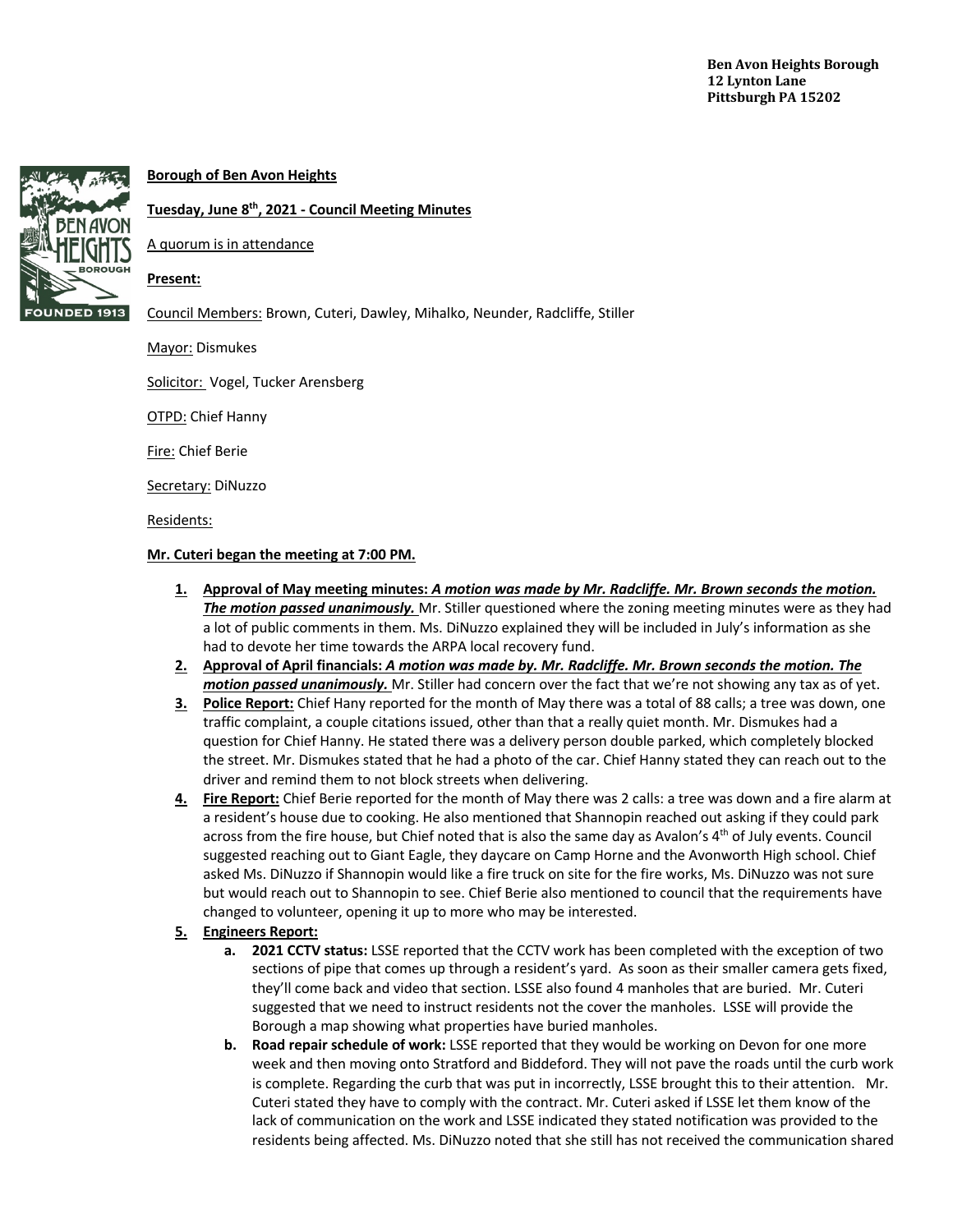

# **Borough of Ben Avon Heights**

## **Tuesday, June 8th, 2021 - Council Meeting Minutes**

A quorum is in attendance

### **Present:**

Council Members: Brown, Cuteri, Dawley, Mihalko, Neunder, Radcliffe, Stiller

Mayor: Dismukes

Solicitor: Vogel, Tucker Arensberg

**OTPD: Chief Hanny** 

Fire: Chief Berie

Secretary: DiNuzzo

Residents:

### **Mr. Cuteri began the meeting at 7:00 PM.**

- **1. Approval of May meeting minutes:** *A motion was made by Mr. Radcliffe. Mr. Brown seconds the motion. The motion passed unanimously.* Mr. Stiller questioned where the zoning meeting minutes were as they had a lot of public comments in them. Ms. DiNuzzo explained they will be included in July's information as she had to devote her time towards the ARPA local recovery fund.
- **2. Approval of April financials:** *A motion was made by. Mr. Radcliffe. Mr. Brown seconds the motion. The motion passed unanimously.* Mr. Stiller had concern over the fact that we're not showing any tax as of yet.
- **3. Police Report:** Chief Hany reported for the month of May there was a total of 88 calls; a tree was down, one traffic complaint, a couple citations issued, other than that a really quiet month. Mr. Dismukes had a question for Chief Hanny. He stated there was a delivery person double parked, which completely blocked the street. Mr. Dismukes stated that he had a photo of the car. Chief Hanny stated they can reach out to the driver and remind them to not block streets when delivering.
- **4. Fire Report:** Chief Berie reported for the month of May there was 2 calls: a tree was down and a fire alarm at a resident's house due to cooking. He also mentioned that Shannopin reached out asking if they could park across from the fire house, but Chief noted that is also the same day as Avalon's 4<sup>th</sup> of July events. Council suggested reaching out to Giant Eagle, they daycare on Camp Horne and the Avonworth High school. Chief asked Ms. DiNuzzo if Shannopin would like a fire truck on site for the fire works, Ms. DiNuzzo was not sure but would reach out to Shannopin to see. Chief Berie also mentioned to council that the requirements have changed to volunteer, opening it up to more who may be interested.
- **5. Engineers Report:**
	- **a. 2021 CCTV status:** LSSE reported that the CCTV work has been completed with the exception of two sections of pipe that comes up through a resident's yard. As soon as their smaller camera gets fixed, they'll come back and video that section. LSSE also found 4 manholes that are buried. Mr. Cuteri suggested that we need to instruct residents not the cover the manholes. LSSE will provide the Borough a map showing what properties have buried manholes.
	- **b. Road repair schedule of work:** LSSE reported that they would be working on Devon for one more week and then moving onto Stratford and Biddeford. They will not pave the roads until the curb work is complete. Regarding the curb that was put in incorrectly, LSSE brought this to their attention. Mr. Cuteri stated they have to comply with the contract. Mr. Cuteri asked if LSSE let them know of the lack of communication on the work and LSSE indicated they stated notification was provided to the residents being affected. Ms. DiNuzzo noted that she still has not received the communication shared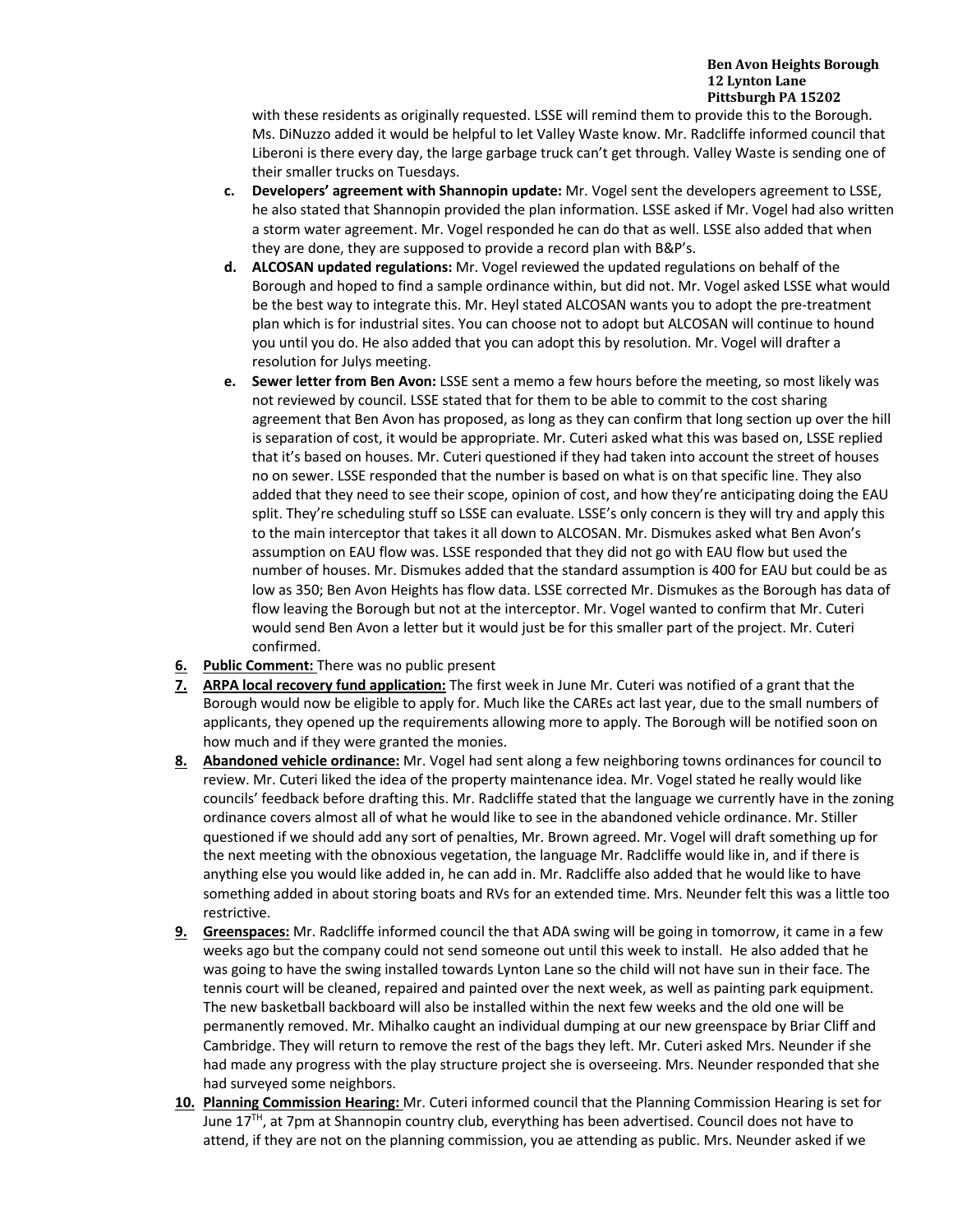#### **Ben Avon Heights Borough 12 Lynton Lane Pittsburgh PA 15202**

with these residents as originally requested. LSSE will remind them to provide this to the Borough. Ms. DiNuzzo added it would be helpful to let Valley Waste know. Mr. Radcliffe informed council that Liberoni is there every day, the large garbage truck can't get through. Valley Waste is sending one of their smaller trucks on Tuesdays.

- **c. Developers' agreement with Shannopin update:** Mr. Vogel sent the developers agreement to LSSE, he also stated that Shannopin provided the plan information. LSSE asked if Mr. Vogel had also written a storm water agreement. Mr. Vogel responded he can do that as well. LSSE also added that when they are done, they are supposed to provide a record plan with B&P's.
- **d. ALCOSAN updated regulations:** Mr. Vogel reviewed the updated regulations on behalf of the Borough and hoped to find a sample ordinance within, but did not. Mr. Vogel asked LSSE what would be the best way to integrate this. Mr. Heyl stated ALCOSAN wants you to adopt the pre-treatment plan which is for industrial sites. You can choose not to adopt but ALCOSAN will continue to hound you until you do. He also added that you can adopt this by resolution. Mr. Vogel will drafter a resolution for Julys meeting.
- **e. Sewer letter from Ben Avon:** LSSE sent a memo a few hours before the meeting, so most likely was not reviewed by council. LSSE stated that for them to be able to commit to the cost sharing agreement that Ben Avon has proposed, as long as they can confirm that long section up over the hill is separation of cost, it would be appropriate. Mr. Cuteri asked what this was based on, LSSE replied that it's based on houses. Mr. Cuteri questioned if they had taken into account the street of houses no on sewer. LSSE responded that the number is based on what is on that specific line. They also added that they need to see their scope, opinion of cost, and how they're anticipating doing the EAU split. They're scheduling stuff so LSSE can evaluate. LSSE's only concern is they will try and apply this to the main interceptor that takes it all down to ALCOSAN. Mr. Dismukes asked what Ben Avon's assumption on EAU flow was. LSSE responded that they did not go with EAU flow but used the number of houses. Mr. Dismukes added that the standard assumption is 400 for EAU but could be as low as 350; Ben Avon Heights has flow data. LSSE corrected Mr. Dismukes as the Borough has data of flow leaving the Borough but not at the interceptor. Mr. Vogel wanted to confirm that Mr. Cuteri would send Ben Avon a letter but it would just be for this smaller part of the project. Mr. Cuteri confirmed.
- **6. Public Comment:** There was no public present
- **7. ARPA local recovery fund application:** The first week in June Mr. Cuteri was notified of a grant that the Borough would now be eligible to apply for. Much like the CAREs act last year, due to the small numbers of applicants, they opened up the requirements allowing more to apply. The Borough will be notified soon on how much and if they were granted the monies.
- **8. Abandoned vehicle ordinance:** Mr. Vogel had sent along a few neighboring towns ordinances for council to review. Mr. Cuteri liked the idea of the property maintenance idea. Mr. Vogel stated he really would like councils' feedback before drafting this. Mr. Radcliffe stated that the language we currently have in the zoning ordinance covers almost all of what he would like to see in the abandoned vehicle ordinance. Mr. Stiller questioned if we should add any sort of penalties, Mr. Brown agreed. Mr. Vogel will draft something up for the next meeting with the obnoxious vegetation, the language Mr. Radcliffe would like in, and if there is anything else you would like added in, he can add in. Mr. Radcliffe also added that he would like to have something added in about storing boats and RVs for an extended time. Mrs. Neunder felt this was a little too restrictive.
- **9. Greenspaces:** Mr. Radcliffe informed council the that ADA swing will be going in tomorrow, it came in a few weeks ago but the company could not send someone out until this week to install. He also added that he was going to have the swing installed towards Lynton Lane so the child will not have sun in their face. The tennis court will be cleaned, repaired and painted over the next week, as well as painting park equipment. The new basketball backboard will also be installed within the next few weeks and the old one will be permanently removed. Mr. Mihalko caught an individual dumping at our new greenspace by Briar Cliff and Cambridge. They will return to remove the rest of the bags they left. Mr. Cuteri asked Mrs. Neunder if she had made any progress with the play structure project she is overseeing. Mrs. Neunder responded that she had surveyed some neighbors.
- **10. Planning Commission Hearing:** Mr. Cuteri informed council that the Planning Commission Hearing is set for June 17<sup>TH</sup>, at 7pm at Shannopin country club, everything has been advertised. Council does not have to attend, if they are not on the planning commission, you ae attending as public. Mrs. Neunder asked if we